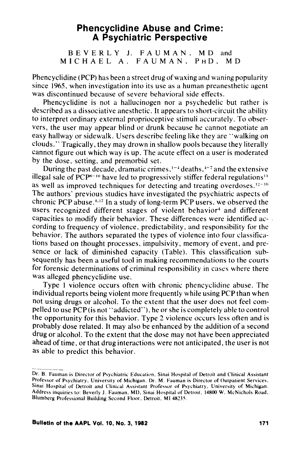# **Phencyclidine Abuse and Crime: A Psychiatric Perspective**

BEVERLY J. FAUMAN, M D and MICHAEL A. FAUMAN, PHD, MD

Phencyclidine (PCP) has been a street drug of waxing and waning popularity since 1965, when investigation into its use as a human preanesthetic agent was discontinued because of severe behavioral side effects.

Phencyclidine is not a hallucinogen nor a psychedelic but rather is described as a dissociative anesthetic. It appears to short-circuit the ability to interpret ordinary external proprioceptive stimuli accurately. To observers, the user may appear blind or drunk because he cannot negotiate an easy hallway or sidewalk. Users describe feeling like they are "walking on clouds." Tragically, they may drown in shallow pools because they literally cannot figure out which way is up. The acute effect on a user is moderated by the dose, setting, and premorbid set.

During the past decade, dramatic crimes,  $1-4$  deaths,  $4-7$  and the extensive illegal sale of  $PCP^{8-10}$  have led to progressively stiffer federal regulations<sup>11</sup> as well as improved techniques for detecting and treating overdoses.<sup>12-16</sup> The authors' previous studies have investigated the psychiatric aspects of chronic PCP abuse.<sup>4,17</sup> In a study of long-term PCP users, we observed the users recognized different stages of violent behavior<sup>4</sup> and different capacities to modify their behavior. These differences were identified ac- . cording to frequency of violence, predictability, and responsibility for the behavior. The authors separated the types of violence into four classifications based on thought processes, impulsivity, memory of event, and presence or lack of diminished capacity (Table). This classification subsequently has been a useful tool in making recommendations to the courts for forensic determinations of criminal responsibility in cases where there was alleged phencyclidine use.

Type 1 violence occurs often with chronic phencyclidine abuse. The individual reports being violent more frequently while using PCP than when not using drugs or alcohol. To the extent that the user does not feel compelled to use PCP (is not' 'addicted"), he or she is completely able to control the opportunity for this behavior. Type 2 violence occurs less often and is probably dose related. It may also be enhanced by the addition of a second drug or alcohol. To the extent that the dose may not have been appreciated ahead of time, or that drug interactions were not anticipated, the user is not as able to predict this behavior.

Dr. B. Fauman is Director of Psychiatric Education, Sinai Hospital of Detroit and Clinical Assistant Professor of Psychiatry. University of Michigan. Dr. M. Fauman is Director of Outpatient Services. Sinai Hospital of Detroit and Clinical Assistant Professor of Psychiatry, University of Michigan. Address inquiries to: Beverly J. Fauman. MD. Sinai Hospital of Detroit. 14800 W. McNichols Road. Blumberg Professional Building Second Floor. Detroit, MI 48235.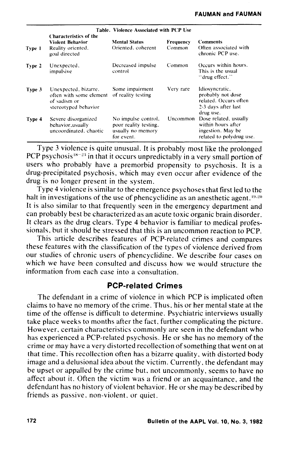|        | Table. Violence Associated with PCP Use<br>Characteristics of the                       |                                                                                 |           |                                                                                                  |
|--------|-----------------------------------------------------------------------------------------|---------------------------------------------------------------------------------|-----------|--------------------------------------------------------------------------------------------------|
|        |                                                                                         |                                                                                 |           |                                                                                                  |
|        | <b>Violent Behavior</b>                                                                 | <b>Mental Status</b>                                                            | Frequency | <b>Comments</b>                                                                                  |
| Type 1 | Reality oriented.<br>goal directed                                                      | Oriented, coherent                                                              | Common    | Often associated with<br>chronic PCP use.                                                        |
| Type 2 | Unexpected,<br>impulsive                                                                | Decreased impulse<br>control                                                    | Common    | Occurs within hours.<br>This is the usual<br>"drug effect."                                      |
| Type 3 | Unexpected, bizarre,<br>often with some element<br>of sadism or<br>stereotyped behavior | Some impairment<br>of reality testing                                           | Very rare | Idiosyncratic,<br>probably not dose<br>related. Occurs often<br>2-3 days after last<br>drug use. |
| Type 4 | Severe disorganized<br>behavior, usually<br>uncoordinated, chaotic                      | No impulse control.<br>poor reality testing,<br>usually no memory<br>for event. | Uncommon  | Dose related, usually<br>within hours after<br>ingestion. May be<br>related to polydrug use.     |

Type 3 violence is quite unusual. It is probably most like the prolonged PCP psychosis<sup>18-23</sup> in that it occurs unpredictably in a very small portion of users who probably have a premorbid propensity to psychosis. It is a drug-precipitated psychosis, which may even occur after evidence of the drug is no longer present in the system.

Type 4 violence is similar to the emergence psychoses that first led to the halt in investigations of the use of phencyclidine as an anesthetic agent.  $19.20$ It is also similar to that frequently seen in the emergency department and can probably best be characterized as an acute toxic organic brain disorder. It clears as the drug clears. Type 4 behavior is familiar to medical professionals. but it should be stressed that this is an uncommon reaction to PCP.

This article describes features of PCP-related crimes and compares these features with the classification of the types of violence derived from our studies of chronic users of phencyclidine. We describe four cases on which we have been consulted and discuss how we would structure the information from each case into a consultation.

## **PCP-related Crimes**

The defendant in a crime of violence in which PCP is implicated often claims to have no memory of the crime. Thus. his or her mental state at the time of the offense is difficult to determine. Psychiatric interviews usually take place weeks to months after the fact. further complicating the picture. However. certain characteristics commonly are seen in the defendant who has experienced a PCP-related psychosis. He or she has no memory of the crime or may have a very distorted recollection of something that went on at that time. This recollection often has a bizarre quality. with distorted body image and a delusional idea about the victim. Currently. the defendant may be upset or appalled by the crime but. not uncommonly, seems to have no affect about it. Often the victim was a friend or an acquaintance, and the defendant has no history of violent behavior. He or she may be described by friends as passive. non-violent. or quiet.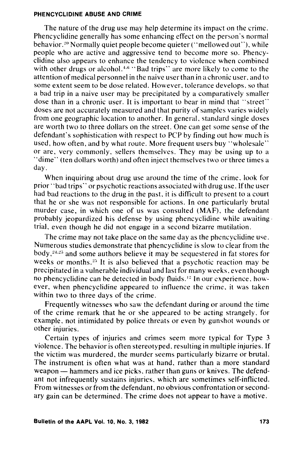### PHENCYCLIDINE ABUSE AND CRIME

The nature of the drug use may help determine its impact on the crime. Phencyclidine generally has some enhancing effect on the person's normal behavior.<sup>20</sup> Normally quiet people become quieter ("mellowed out"), while people who are active and aggressive tend to become more so. Phencyclidine also appears to enhance the tendency to violence when combined with other drugs or alcohol.<sup> $4.6$ </sup> "Bad trips" are more likely to come to the attention of medical personnel in the naive user than in a chronic user, and to some extent seem to be dose related. However, tolerance develops, so that a bad trip in a naive user may be precipitated by a comparatively smaller dose than in a chronic user. It is important to bear in mind that "street" doses are not accurately measured and that purity of samples varies widely from one geographic location to another. In general, standard single doses are worth two to three dollars on the street. One can get some sense of the defendant's sophistication with respect to PCP by finding out how much is used, how often, and by what route. More frequent users buy "wholesale" or are, very commonly, sellers themselves. They may be using up to a "dime" (ten dollars worth) and often inject themselves two or three times a day.

When inquiring about drug use around the time of the crime. look for prior' 'bad trips" or psychotic reactions associated with drug use. 1ft he user had bad reactions to the drug in the past, it is difficult to present to a court that he or she was not responsible for actions. In one particularly brutal murder case, in which one of us was consulted (MAF), the defendant probably jeopardized his defense by using phencyclidine while awaiting· trial, even though he did not engage in a second bizarre mutilation.

The crime may not take place on the same day as the phencyclidine use. Numerous studies demonstrate that phencyclidine is slow to clear from the body,<sup>24,25</sup> and some authors believe it may be sequestered in fat stores for weeks or months.<sup>25</sup> It is also believed that a psychotic reaction may be precipitated in a vulnerable individual and last for many weeks, even though no phencyclidine can be detected in body fluids.<sup>12</sup> In our experience, however, when phencyclidine appeared to influence the crime, it was taken within two to three days of the crime.

Frequently witnesses who saw the defendant during or around the time of the crime remark that he or she appeared to be acting strangely. for example, not intimidated by police threats or even by gunshot wounds or other injuries.

Certain types of injuries and crimes seem more typical for Type 3 violence. The behavior is often stereotyped, resulting in multiple injuries. If the victim was murdered, the murder seems particularly bizarre or brutal. The instrument is often what was at hand, rather than a more standard weapon — hammers and ice picks, rather than guns or knives. The defendant not infrequently sustains injuries, which are sometimes self-inflicted. From witnesses or from the defendant, no obvious confrontation or secondary gain can be determined. The crime does not appear to have a motive.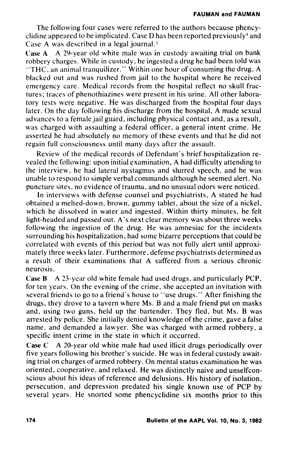The following four cases were referred to the authors because phencyclidine appeared to be implicated. Case D has been reported previously<sup>4</sup> and Case A was described in a legal journal. $2$ 

Case A A 29-year old white male was in custody awaiting trial on bank robbery charges. While in custody, he ingested a drug he had been told was "THC, an animal tranquilizer." Within one hour of consuming the drug, A blacked out and was rushed from jail to the hospital where he received emergency care. Medical records from the hospital reflect no skull fractures; traces of phenothiazines were present in his urine. All other laboratory tests were negative. He was discharged from the hospital four days later. On the day following his discharge from the hospital, A made sexual advances to a female jail guard, including physical contact and, as a result, was charged with assaulting a federal officer, a general intent crime. He asserted he had absolutely no memory of these events and that he did not regain full consciousness until many days after the assault.

Review of the medical records of Defendant's brief hospitalization revealed the following: upon initial examination, A had difficulty attending to the interview, he had lateral nystagmus and slurred speech, and he was unable to respond to simple verbal commands although he seemed alert. No puncture sites, no evidence of trauma, and no unusual odors were noticed.

In interviews with defense counsel and psychiatrists, A stated he had obtained a melted-down, brown, gummy tablet, about the size of a nickel, which he dissolved in water and ingested. Within thirty minutes, he felt light-headed and passed out. A's next clear memory was about three weeks following the ingestion of the drug. He was amnesiac for the incidents surrounding his hospitalization, had some bizarre perceptions that could be correlated with events of this period but was not fully alert until approximately three weeks later. Furthermore, defense psychiatrists determined as a result of their examinations that A suffered from a serious chronic neurosis.

Case B A 23-year old white female had used drugs, and particularly PCP, for ten years. On the evening of the crime, she accepted an invitation with several friends to go to a friend's house to "use drugs." After finishing the drugs, they drove to a tavern where Ms. B and a male friend put on masks and, using two guns, held up the bartender. They fled, but Ms. B was arrested by police. She initially denied knowledge of the crime, gave a false name, and demanded a lawyer. She was charged with armed robbery, a specific intent crime in the state in which it occurred.

Case C A 20-year old white male had used illicit drugs periodically over five years following his brother's suicide. He was in federal custody awaiting trial on charges of armed robbery. On mental status examination he was oriented, cooperative, and relaxed. He was distinctly naive and unselfconscious about his ideas of reference and delusions. His history of isolation, persecution, and depression predated his single known use of PCP by several years. He snorted some phencyclidine six months prior to this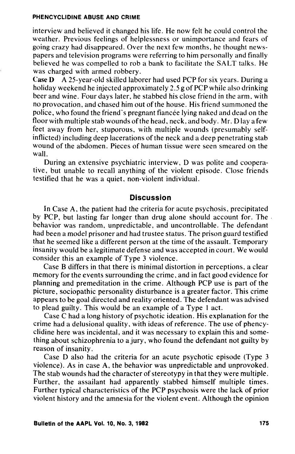#### PHENCYCLIDINE ABUSE AND CRIME

interview and believed it changed his life. He now felt he could control the weather. Previous feelings of helplessness or unimportance and fears of going crazy had disappeared. Over the next few months, he thought newspapers and television programs were referring to him personally and finally believed he was compelled to rob a bank to facilitate the SALT talks. He was charged with armed robbery.

Case D A 25-year-old skilled laborer had used PCP for six years. During a holiday weekend he injected approximately 2.5 g of PCP while also drinking beer and wine. Four days later, he stabbed his close friend in the arm, with no provocation, and chased him out of the house. His friend summoned the police, who found the friend's pregnant fiancée lying naked and dead on the floor with multiple stab wounds of the head, neck, and body. Mr. D lay a few feet away from her, stuporous, with multiple wounds (presumably selfinflicted) including deep lacerations of the neck and a deep penetrating stab wound of the abdomen. Pieces of human tissue were seen smeared on the wall.

During an extensive psychiatric interview, D was polite and cooperative, but unable to recall anything of the violent episode. Close friends testified that he was a quiet, non-violent individual.

## **Discussion**

In Case A, the patient had the criteria for acute psychosis, precipitated by PCP, but lasting far longer than drug alone should account for. The . behavior was random, unpredictable, and uncontrollable. The defendant had been a model prisoner and had trustee status. The prison guard testified that he seemed like a different person at the time of the assault. Temporary insanity would be a legitimate defense and was accepted in court. We would consider this an example of Type 3 violence.

Case B differs in that there is minimal distortion in perceptions, a clear memory for the events surrounding the crime, and in fact good evidence for planning and premeditation in the crime. Although PCP use is part of the picture, sociopathic personality disturbance is a greater factor. This crime appears to be goal directed and reality oriented. The defendant was advised to plead guilty. This would be an example of a Type I act.

Case C had a long history of psychotic ideation. His explanation for the crime had a delusional quality, with ideas of reference. The use of phencyclidine here was incidental, and it was necessary to explain this and something about schizophrenia to a jury, who found the defendant not guilty by reason of insanity.

Case D also had the criteria for an acute psychotic episode (Type 3 violence). As in case A, the behavior was unpredictable and unprovoked. The stab wounds had the character of stereotypy in that they were multiple. Further, the assailant had apparently stabbed himself multiple times. Further typical characteristics of the PCP psychosis were the lack of prior violent history and the amnesia for the violent event. Although the opinion